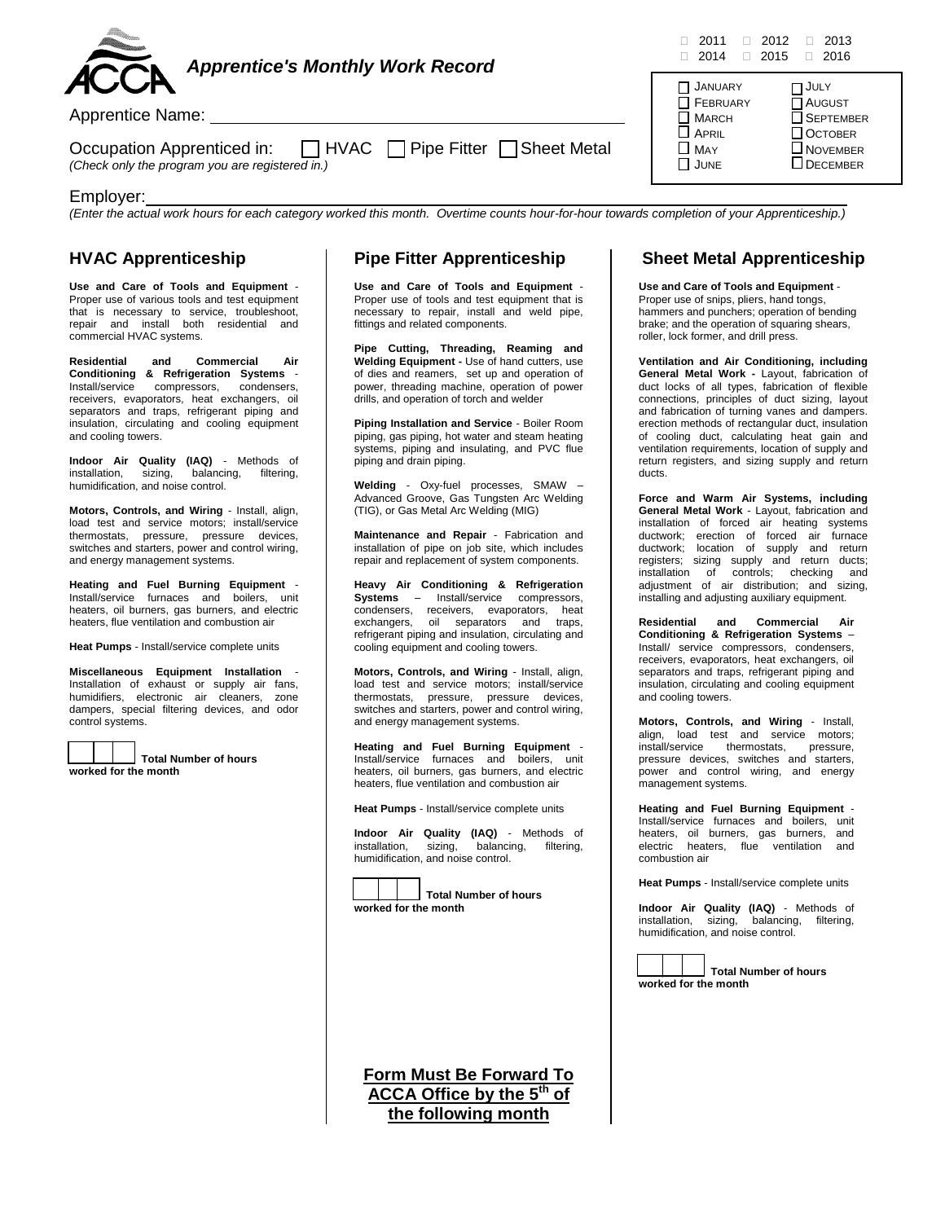

| Occupation Apprenticed in:                      | □ HVAC □ Pipe Fitter □ Sheet Metal |  |
|-------------------------------------------------|------------------------------------|--|
| (Check only the program you are registered in.) |                                    |  |

#### Employer:

*(Enter the actual work hours for each category worked this month. Overtime counts hour-for-hour towards completion of your Apprenticeship.)*

### **HVAC Apprenticeship**

**Use and Care of Tools and Equipment** - Proper use of various tools and test equipment that is necessary to service, troubleshoot, repair and install both residential and commercial HVAC systems.

**Residential and Commercial Air Conditioning & Refrigeration Systems** - Install/service compressors, condensers, receivers, evaporators, heat exchangers, oil separators and traps, refrigerant piping and insulation, circulating and cooling equipment and cooling towers.

**Indoor Air Quality (IAQ)** - Methods of installation, sizing, balancing, filtering, humidification, and noise control.

**Motors, Controls, and Wiring** - Install, align, load test and service motors; install/service thermostats, pressure, pressure devices, switches and starters, power and control wiring, and energy management systems.

**Heating and Fuel Burning Equipment** - Install/service furnaces and boilers, unit heaters, oil burners, gas burners, and electric heaters, flue ventilation and combustion air

**Heat Pumps** - Install/service complete units

**Miscellaneous Equipment Installation** - Installation of exhaust or supply air fans, humidifiers, electronic air cleaners, zone dampers, special filtering devices, and odor control systems.



 **Total Number of hours worked for the month**

## **Pipe Fitter Apprenticeship**

**Use and Care of Tools and Equipment** - Proper use of tools and test equipment that is necessary to repair, install and weld pipe, fittings and related components.

**Pipe Cutting, Threading, Reaming and Welding Equipment -** Use of hand cutters, use of dies and reamers, set up and operation of power, threading machine, operation of power drills, and operation of torch and welder

**Piping Installation and Service** - Boiler Room piping, gas piping, hot water and steam heating systems, piping and insulating, and PVC flue piping and drain piping.

**Welding** - Oxy-fuel processes, SMAW – Advanced Groove, Gas Tungsten Arc Welding (TIG), or Gas Metal Arc Welding (MIG)

**Maintenance and Repair** - Fabrication and installation of pipe on job site, which includes repair and replacement of system components.

**Heavy Air Conditioning & Refrigeration Systems** – Install/service compressors, condensers, receivers, evaporators, heat exchangers, oil separators and traps, refrigerant piping and insulation, circulating and cooling equipment and cooling towers.

**Motors, Controls, and Wiring** - Install, align, load test and service motors; install/service thermostats, pressure, pressure devices, switches and starters, power and control wiring, and energy management systems.

**Heating and Fuel Burning Equipment** - Install/service furnaces and boilers, unit heaters, oil burners, gas burners, and electric heaters, flue ventilation and combustion air

**Heat Pumps** - Install/service complete units

**Indoor Air Quality (IAQ)** - Methods of installation, sizing, balancing, filtering, installation, sizing, humidification, and noise control.



 **Total Number of hours worked for the month**

**Form Must Be Forward To ACCA Office by the 5th of the following month**

#### **Sheet Metal Apprenticeship**

**Use and Care of Tools and Equipment** -

Proper use of snips, pliers, hand tongs, hammers and punchers; operation of bending brake; and the operation of squaring shears, roller, lock former, and drill press.

**Ventilation and Air Conditioning, including General Metal Work -** Layout, fabrication of duct locks of all types, fabrication of flexible connections, principles of duct sizing, layout and fabrication of turning vanes and dampers. erection methods of rectangular duct, insulation of cooling duct, calculating heat gain and ventilation requirements, location of supply and return registers, and sizing supply and return ducts.

**Force and Warm Air Systems, including General Metal Work** - Layout, fabrication and installation of forced air heating systems ductwork; erection of forced air furnace ductwork; location of supply and return registers; sizing supply and return ducts; installation of controls; checking and adjustment of air distribution; and sizing, installing and adjusting auxiliary equipment.

**Residential and Commercial Air Conditioning & Refrigeration Systems** – Install/ service compressors, condensers, receivers, evaporators, heat exchangers, oil separators and traps, refrigerant piping and insulation, circulating and cooling equipment and cooling towers.

**Motors, Controls, and Wiring** - Install, align, load test and service motors; install/service thermostats, pressure, pressure devices, switches and starters, power and control wiring, and energy management systems.

**Heating and Fuel Burning Equipment** - Install/service furnaces and boilers, unit heaters, oil burners, gas burners, and<br>electric heaters, flue ventilation and electric heaters, flue ventilation combustion air

**Heat Pumps** - Install/service complete units

**Indoor Air Quality (IAQ)** - Methods of installation, sizing, balancing, filtering, humidification, and noise control.



 **Total Number of hours worked for the month**



JANUARY **IT JULY**  $\Box$  FEBRUARY  $\Box$  AUGUST MARCH SEPTEMBER

MAY NOVEMBER

 $\Box$  October

 $\Box$  DECEMBER